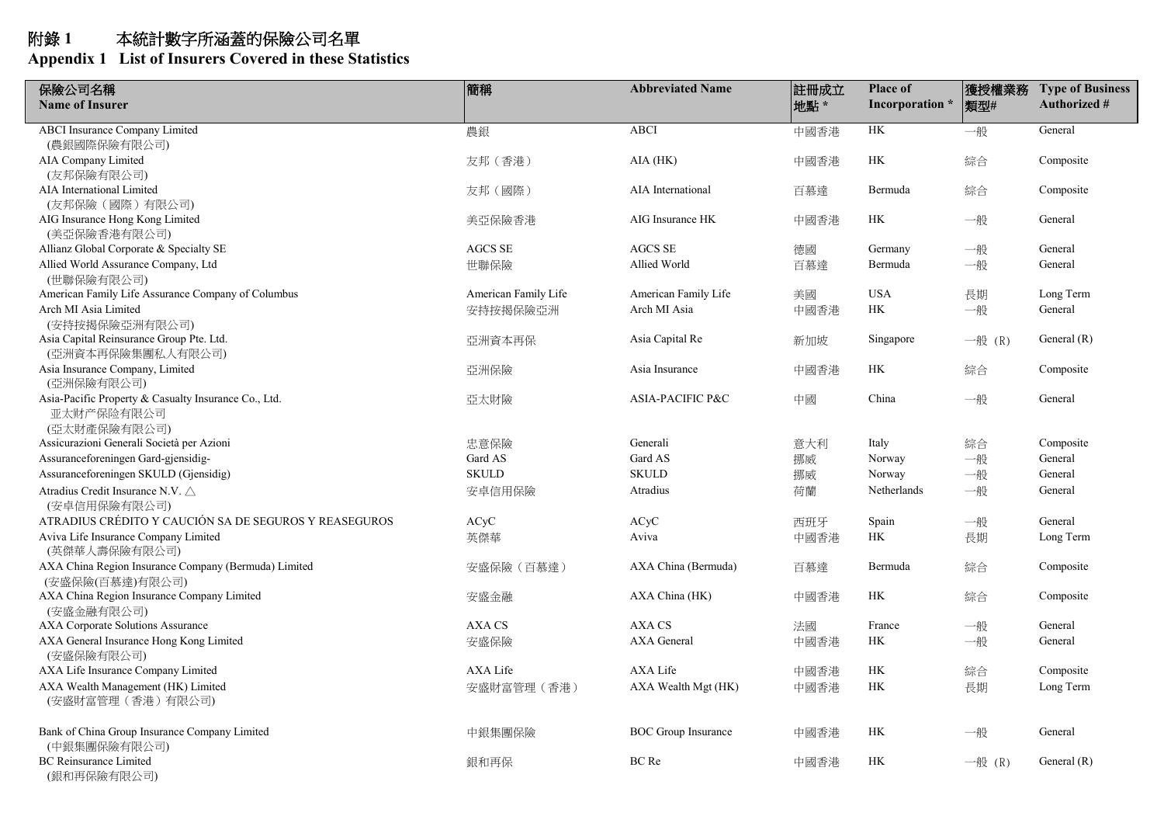| 保險公司名稱                                                             | 簡稱                   | <b>Abbreviated Name</b>    | 註冊成立 | <b>Place of</b> | 獲授權業務    | <b>Type of Business</b> |
|--------------------------------------------------------------------|----------------------|----------------------------|------|-----------------|----------|-------------------------|
| <b>Name of Insurer</b>                                             |                      |                            | 地點*  | Incorporation * | 類型#      | <b>Authorized #</b>     |
| <b>ABCI</b> Insurance Company Limited                              | 農銀                   | <b>ABCI</b>                | 中國香港 | HK              | 一般       | General                 |
| (農銀國際保險有限公司)                                                       |                      |                            |      |                 |          |                         |
| AIA Company Limited                                                | 友邦(香港)               | $AIA$ ( $HK$ )             | 中國香港 | HK              | 綜合       | Composite               |
| (友邦保險有限公司)<br>AIA International Limited                            |                      | AIA International          |      | Bermuda         |          |                         |
| (友邦保險 (國際) 有限公司)                                                   | 友邦(國際)               |                            | 百慕達  |                 | 綜合       | Composite               |
| AIG Insurance Hong Kong Limited                                    | 美亞保險香港               | AIG Insurance HK           | 中國香港 | HK              | 一般       | General                 |
| (美亞保險香港有限公司)                                                       |                      |                            |      |                 |          |                         |
| Allianz Global Corporate & Specialty SE                            | <b>AGCS SE</b>       | <b>AGCS SE</b>             | 德國   | Germany         | 一般       | General                 |
| Allied World Assurance Company, Ltd                                | 世聯保險                 | Allied World               | 百慕達  | Bermuda         | 一般       | General                 |
| (世聯保險有限公司)                                                         |                      |                            |      |                 |          |                         |
| American Family Life Assurance Company of Columbus                 | American Family Life | American Family Life       | 美國   | <b>USA</b>      | 長期       | Long Term               |
| Arch MI Asia Limited                                               | 安持按揭保險亞洲             | Arch MI Asia               | 中國香港 | HK              | 一般       | General                 |
| (安持按揭保險亞洲有限公司)                                                     |                      |                            |      |                 |          |                         |
| Asia Capital Reinsurance Group Pte. Ltd.                           | 亞洲資本再保               | Asia Capital Re            | 新加坡  | Singapore       | 一般 $(R)$ | General $(R)$           |
| (亞洲資本再保險集團私人有限公司)                                                  |                      |                            |      |                 |          |                         |
| Asia Insurance Company, Limited                                    | 亞洲保險                 | Asia Insurance             | 中國香港 | HK              | 綜合       | Composite               |
| (亞洲保險有限公司)                                                         |                      | ASIA-PACIFIC P&C           |      | China           |          |                         |
| Asia-Pacific Property & Casualty Insurance Co., Ltd.<br>亚太财产保险有限公司 | 亞太財險                 |                            | 中國   |                 | 一般       | General                 |
| (亞太財產保險有限公司)                                                       |                      |                            |      |                 |          |                         |
| Assicurazioni Generali Società per Azioni                          | 忠意保險                 | Generali                   | 意大利  | Italy           | 綜合       | Composite               |
| Assuranceforeningen Gard-gjensidig-                                | Gard AS              | Gard AS                    | 挪威   | Norway          | 一般       | General                 |
| Assuranceforeningen SKULD (Gjensidig)                              | <b>SKULD</b>         | <b>SKULD</b>               | 挪威   | Norway          | 一般       | General                 |
| Atradius Credit Insurance N.V. △                                   | 安卓信用保險               | Atradius                   | 荷蘭   | Netherlands     | 一般       | General                 |
| (安卓信用保險有限公司)                                                       |                      |                            |      |                 |          |                         |
| ATRADIUS CRÉDITO Y CAUCIÓN SA DE SEGUROS Y REASEGUROS              | ACyC                 | ACyC                       | 西班牙  | Spain           | 一般       | General                 |
| Aviva Life Insurance Company Limited                               | 英傑華                  | Aviva                      | 中國香港 | HK              | 長期       | Long Term               |
| (英傑華人壽保險有限公司)                                                      |                      |                            |      |                 |          |                         |
| AXA China Region Insurance Company (Bermuda) Limited               | 安盛保險 (百慕達)           | AXA China (Bermuda)        | 百慕達  | Bermuda         | 綜合       | Composite               |
| (安盛保險(百慕達)有限公司)                                                    |                      |                            |      |                 |          |                         |
| AXA China Region Insurance Company Limited                         | 安盛金融                 | AXA China (HK)             | 中國香港 | HK              | 綜合       | Composite               |
| (安盛金融有限公司)                                                         |                      |                            |      |                 |          |                         |
| <b>AXA Corporate Solutions Assurance</b>                           | <b>AXA CS</b>        | AXA CS<br>AXA General      | 法國   | France          | 一般       | General                 |
| AXA General Insurance Hong Kong Limited<br>(安盛保險有限公司)              | 安盛保險                 |                            | 中國香港 | HK              | 一般       | General                 |
| AXA Life Insurance Company Limited                                 | AXA Life             | AXA Life                   | 中國香港 | HK              | 綜合       | Composite               |
| AXA Wealth Management (HK) Limited                                 | 安盛財富管理 (香港)          | AXA Wealth Mgt (HK)        | 中國香港 | HK              | 長期       | Long Term               |
| (安盛財富管理 (香港) 有限公司)                                                 |                      |                            |      |                 |          |                         |
| Bank of China Group Insurance Company Limited                      | 中銀集團保險               | <b>BOC</b> Group Insurance | 中國香港 | HK              | 一般       | General                 |
| (中銀集團保險有限公司)                                                       |                      |                            |      |                 |          |                         |
| <b>BC</b> Reinsurance Limited<br>(銀和再保險有限公司)                       | 銀和再保                 | BC Re                      | 中國香港 | HK              | 一般 (R)   | General $(R)$           |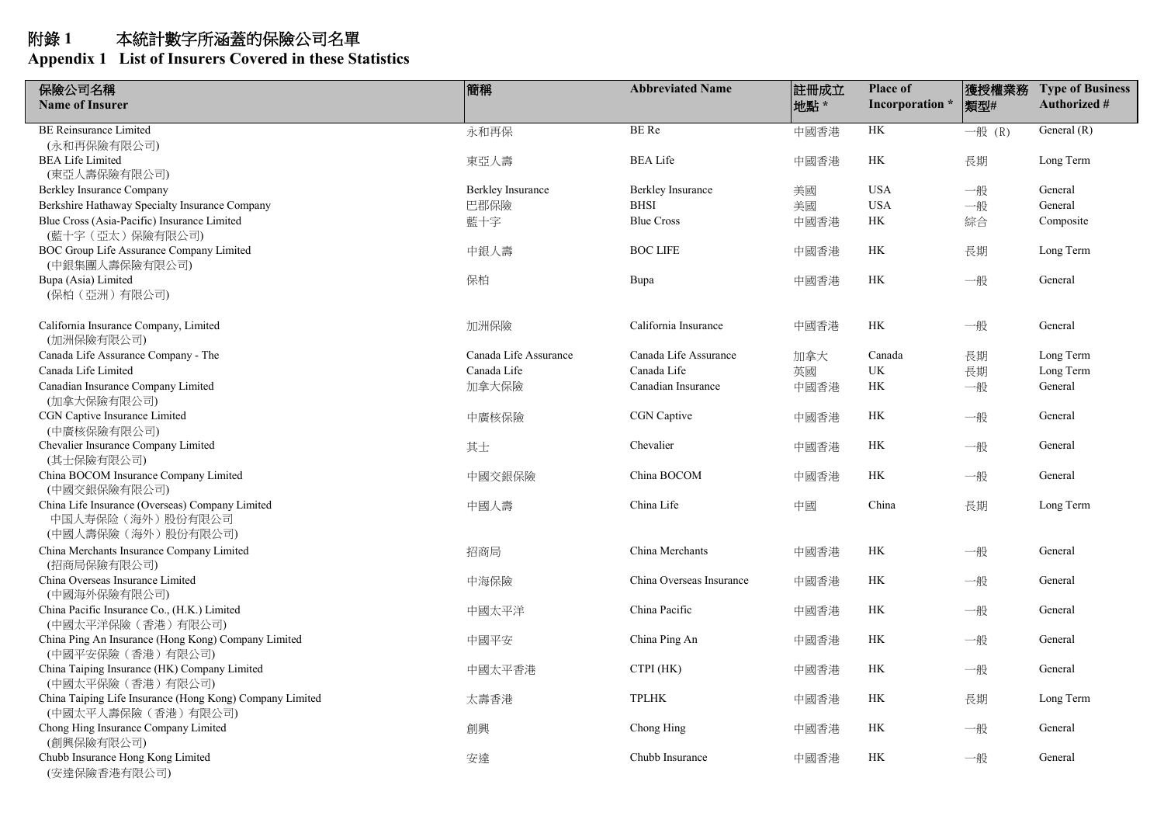| 保險公司名稱                                                                | 簡稱                       | <b>Abbreviated Name</b>  | 註冊成立 | <b>Place of</b> | 獲授權業務  | <b>Type of Business</b> |
|-----------------------------------------------------------------------|--------------------------|--------------------------|------|-----------------|--------|-------------------------|
| <b>Name of Insurer</b>                                                |                          |                          | 地點*  | Incorporation * | 類型#    | <b>Authorized #</b>     |
| <b>BE Reinsurance Limited</b>                                         | 永和再保                     | <b>BE</b> Re             | 中國香港 | HK              | 一般 (R) | General $(R)$           |
| (永和再保險有限公司)                                                           |                          |                          |      |                 |        |                         |
| <b>BEA Life Limited</b>                                               | 東亞人壽                     | <b>BEA</b> Life          | 中國香港 | HK              | 長期     | Long Term               |
| (東亞人壽保險有限公司)                                                          |                          |                          |      |                 |        |                         |
| Berkley Insurance Company                                             | <b>Berkley Insurance</b> | <b>Berkley Insurance</b> | 美國   | <b>USA</b>      | 一般     | General                 |
| Berkshire Hathaway Specialty Insurance Company                        | 巴郡保險                     | <b>BHSI</b>              | 美國   | <b>USA</b>      | 一般     | General                 |
| Blue Cross (Asia-Pacific) Insurance Limited<br>(藍十字 (亞太) 保險有限公司)      | 藍十字                      | <b>Blue Cross</b>        | 中國香港 | HK              | 綜合     | Composite               |
| BOC Group Life Assurance Company Limited                              | 中銀人壽                     | <b>BOC LIFE</b>          | 中國香港 | HK              | 長期     | Long Term               |
| (中銀集團人壽保險有限公司)                                                        |                          |                          |      |                 |        |                         |
| Bupa (Asia) Limited                                                   | 保柏                       | Bupa                     | 中國香港 | HK              | 一般     | General                 |
| (保柏 (亞洲) 有限公司)                                                        |                          |                          |      |                 |        |                         |
| California Insurance Company, Limited                                 | 加洲保險                     | California Insurance     | 中國香港 | <b>HK</b>       | 一般     | General                 |
| (加洲保險有限公司)                                                            |                          |                          |      |                 |        |                         |
| Canada Life Assurance Company - The                                   | Canada Life Assurance    | Canada Life Assurance    | 加拿大  | Canada          | 長期     | Long Term               |
| Canada Life Limited                                                   | Canada Life              | Canada Life              | 英國   | UK              | 長期     | Long Term               |
| Canadian Insurance Company Limited                                    | 加拿大保險                    | Canadian Insurance       | 中國香港 | HK              | 一般     | General                 |
| (加拿大保險有限公司)                                                           |                          |                          |      |                 |        |                         |
| CGN Captive Insurance Limited                                         | 中廣核保險                    | CGN Captive              | 中國香港 | HK              | 一般     | General                 |
| (中廣核保險有限公司)                                                           |                          |                          |      |                 |        |                         |
| Chevalier Insurance Company Limited                                   | 其士                       | Chevalier                | 中國香港 | <b>HK</b>       | 一般     | General                 |
| (其士保險有限公司)                                                            |                          |                          |      |                 |        |                         |
| China BOCOM Insurance Company Limited                                 | 中國交銀保險                   | China BOCOM              | 中國香港 | HK              | 一般     | General                 |
| (中國交銀保險有限公司)                                                          |                          |                          |      |                 |        |                         |
| China Life Insurance (Overseas) Company Limited<br>中国人寿保险 (海外) 股份有限公司 | 中國人壽                     | China Life               | 中國   | China           | 長期     | Long Term               |
| (中國人壽保險(海外)股份有限公司)                                                    |                          |                          |      |                 |        |                         |
| China Merchants Insurance Company Limited                             | 招商局                      | China Merchants          | 中國香港 | HK              | 一般     | General                 |
| (招商局保險有限公司)                                                           |                          |                          |      |                 |        |                         |
| China Overseas Insurance Limited                                      | 中海保險                     | China Overseas Insurance | 中國香港 | <b>HK</b>       | 一般     | General                 |
| (中國海外保險有限公司)                                                          |                          |                          |      |                 |        |                         |
| China Pacific Insurance Co., (H.K.) Limited                           | 中國太平洋                    | China Pacific            | 中國香港 | HK              | 一般     | General                 |
| (中國太平洋保險(香港)有限公司)                                                     |                          |                          |      |                 |        |                         |
| China Ping An Insurance (Hong Kong) Company Limited                   | 中國平安                     | China Ping An            | 中國香港 | HK              | 一般     | General                 |
| (中國平安保險(香港)有限公司)                                                      |                          |                          |      |                 |        |                         |
| China Taiping Insurance (HK) Company Limited                          | 中國太平香港                   | CTPI (HK)                | 中國香港 | HK              | 一般     | General                 |
| (中國太平保險(香港)有限公司)                                                      |                          |                          |      |                 |        |                         |
| China Taiping Life Insurance (Hong Kong) Company Limited              | 太壽香港                     | <b>TPLHK</b>             | 中國香港 | НK              | 長期     | Long Term               |
| (中國太平人壽保險 (香港) 有限公司)                                                  |                          |                          |      |                 |        |                         |
| Chong Hing Insurance Company Limited                                  | 創興                       | Chong Hing               | 中國香港 | HK              | 一般     | General                 |
| (創興保險有限公司)                                                            |                          | Chubb Insurance          |      |                 |        |                         |
| Chubb Insurance Hong Kong Limited                                     | 安達                       |                          | 中國香港 | HK              | 一般     | General                 |
| (安達保險香港有限公司)                                                          |                          |                          |      |                 |        |                         |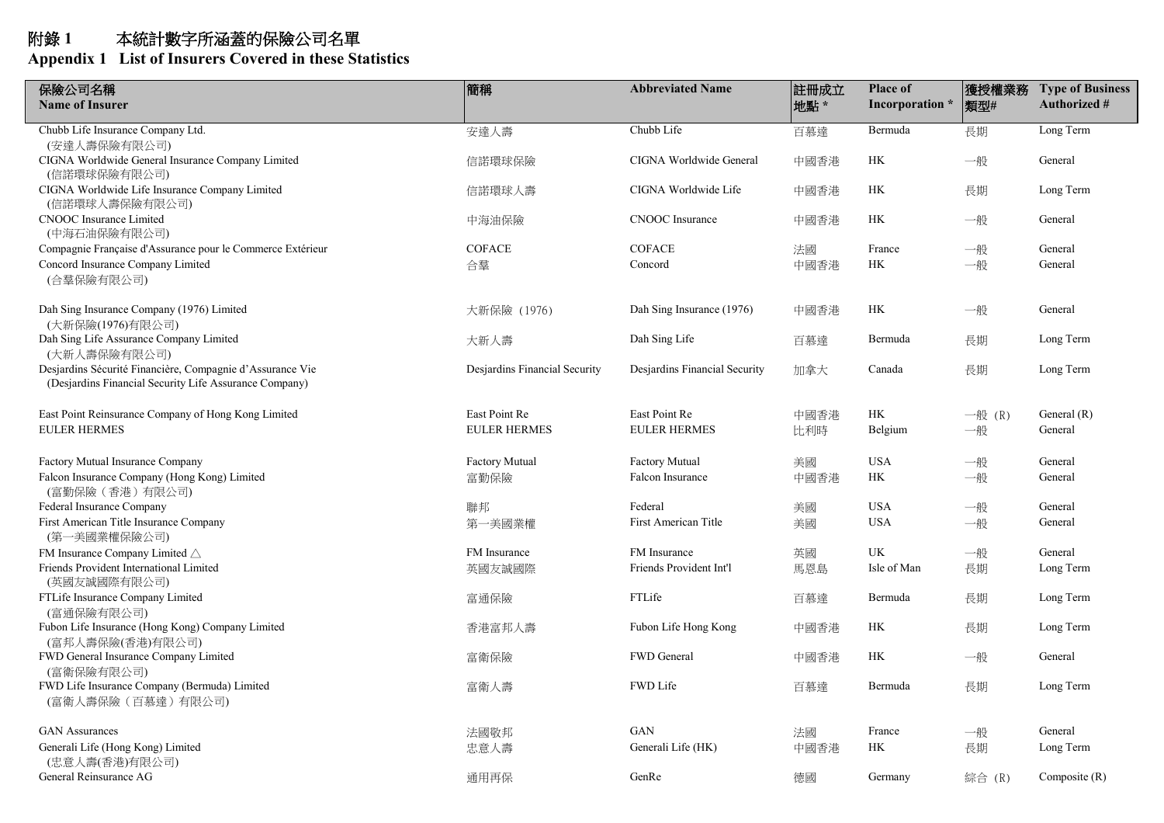| 保險公司名稱<br><b>Name of Insurer</b>                                                                                    | 簡稱                            | <b>Abbreviated Name</b>       | 註冊成立<br>地點 * | <b>Place of</b><br>Incorporation * | 獲授權業務<br>類型# | <b>Type of Business</b><br><b>Authorized #</b> |
|---------------------------------------------------------------------------------------------------------------------|-------------------------------|-------------------------------|--------------|------------------------------------|--------------|------------------------------------------------|
| Chubb Life Insurance Company Ltd.                                                                                   | 安達人壽                          | Chubb Life                    | 百慕達          | Bermuda                            | 長期           | Long Term                                      |
| (安達人壽保險有限公司)<br>CIGNA Worldwide General Insurance Company Limited<br>(信諾環球保險有限公司)                                   | 信諾環球保險                        | CIGNA Worldwide General       | 中國香港         | HK                                 | 一般           | General                                        |
| CIGNA Worldwide Life Insurance Company Limited<br>(信諾環球人壽保險有限公司)                                                    | 信諾環球人壽                        | CIGNA Worldwide Life          | 中國香港         | HK                                 | 長期           | Long Term                                      |
| <b>CNOOC</b> Insurance Limited<br>(中海石油保險有限公司)                                                                      | 中海油保險                         | <b>CNOOC</b> Insurance        | 中國香港         | HK                                 | 一般           | General                                        |
| Compagnie Française d'Assurance pour le Commerce Extérieur                                                          | <b>COFACE</b>                 | <b>COFACE</b>                 | 法國           | France                             | 一般           | General                                        |
| Concord Insurance Company Limited<br>(合羣保險有限公司)                                                                     | 合羣                            | Concord                       | 中國香港         | HK                                 | 一般           | General                                        |
| Dah Sing Insurance Company (1976) Limited<br>(大新保險(1976)有限公司)                                                       | 大新保險 (1976)                   | Dah Sing Insurance (1976)     | 中國香港         | HK                                 | 一般           | General                                        |
| Dah Sing Life Assurance Company Limited<br>(大新人壽保險有限公司)                                                             | 大新人壽                          | Dah Sing Life                 | 百慕達          | Bermuda                            | 長期           | Long Term                                      |
| Desjardins Sécurité Financière, Compagnie d'Assurance Vie<br>(Desjarding Financial Security Life Assurance Company) | Desjardins Financial Security | Desjardins Financial Security | 加拿大          | Canada                             | 長期           | Long Term                                      |
| East Point Reinsurance Company of Hong Kong Limited                                                                 | East Point Re                 | East Point Re                 | 中國香港         | HK                                 | 一般 $(R)$     | General $(R)$                                  |
| <b>EULER HERMES</b>                                                                                                 | <b>EULER HERMES</b>           | EULER HERMES                  | 比利時          | Belgium                            | 一般           | General                                        |
| Factory Mutual Insurance Company                                                                                    | <b>Factory Mutual</b>         | <b>Factory Mutual</b>         | 美國           | <b>USA</b>                         | 一般           | General                                        |
| Falcon Insurance Company (Hong Kong) Limited<br>(富勤保險(香港)有限公司)                                                      | 富勤保險                          | Falcon Insurance              | 中國香港         | HK                                 | 一般           | General                                        |
| Federal Insurance Company                                                                                           | 聯邦                            | Federal                       | 美國           | <b>USA</b>                         | 一般           | General                                        |
| First American Title Insurance Company<br>(第一美國業權保險公司)                                                              | 第一美國業權                        | First American Title          | 美國           | <b>USA</b>                         | 一般           | General                                        |
| FM Insurance Company Limited $\triangle$                                                                            | FM Insurance                  | <b>FM</b> Insurance           | 英國           | UK                                 | 一般           | General                                        |
| Friends Provident International Limited<br>(英國友誠國際有限公司)                                                             | 英國友誠國際                        | Friends Provident Int'l       | 馬恩島          | Isle of Man                        | 長期           | Long Term                                      |
| FTLife Insurance Company Limited<br>(富通保險有限公司)                                                                      | 富通保險                          | FTLife                        | 百慕達          | Bermuda                            | 長期           | Long Term                                      |
| Fubon Life Insurance (Hong Kong) Company Limited<br>(富邦人壽保險(香港)有限公司)                                                | 香港富邦人壽                        | Fubon Life Hong Kong          | 中國香港         | HK                                 | 長期           | Long Term                                      |
| FWD General Insurance Company Limited<br>(富衛保險有限公司)                                                                 | 富衛保險                          | FWD General                   | 中國香港         | HK                                 | 一般           | General                                        |
| FWD Life Insurance Company (Bermuda) Limited<br>(富衛人壽保險 (百慕達) 有限公司)                                                 | 富衛人壽                          | FWD Life                      | 百慕達          | Bermuda                            | 長期           | Long Term                                      |
| <b>GAN Assurances</b>                                                                                               | 法國敬邦                          | <b>GAN</b>                    | 法國           | France                             | 一般           | General                                        |
| Generali Life (Hong Kong) Limited<br>(忠意人壽(香港)有限公司)                                                                 | 忠意人壽                          | Generali Life (HK)            | 中國香港         | HK                                 | 長期           | Long Term                                      |
| General Reinsurance AG                                                                                              | 通用再保                          | GenRe                         | 德國           | Germany                            | 綜合 (R)       | Composite $(R)$                                |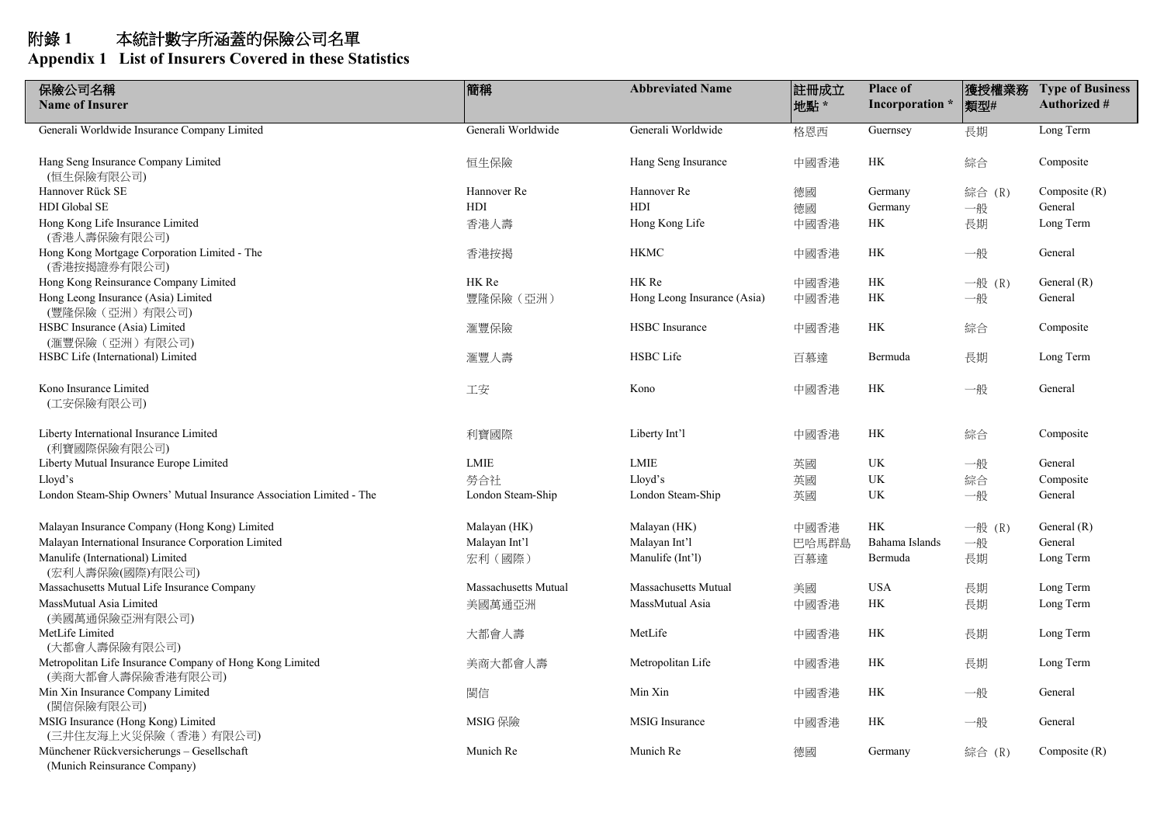| 保險公司名稱                                                                        | 簡稱                          | <b>Abbreviated Name</b>     | 註冊成立  | <b>Place of</b> | 獲授權業務    | <b>Type of Business</b> |
|-------------------------------------------------------------------------------|-----------------------------|-----------------------------|-------|-----------------|----------|-------------------------|
| <b>Name of Insurer</b>                                                        |                             |                             | 地點 *  | Incorporation * | 類型#      | <b>Authorized #</b>     |
| Generali Worldwide Insurance Company Limited                                  | Generali Worldwide          | Generali Worldwide          | 格恩西   | Guernsey        | 長期       | Long Term               |
| Hang Seng Insurance Company Limited<br>(恒生保險有限公司)                             | 恒生保險                        | Hang Seng Insurance         | 中國香港  | HK              | 綜合       | Composite               |
| Hannover Rück SE                                                              | Hannover Re                 | Hannover Re                 | 德國    | Germany         | 綜合 (R)   | Composite $(R)$         |
| HDI Global SE                                                                 | HDI                         | HDI                         | 德國    | Germany         | 一般       | General                 |
| Hong Kong Life Insurance Limited<br>(香港人壽保險有限公司)                              | 香港人壽                        | Hong Kong Life              | 中國香港  | HK              | 長期       | Long Term               |
| Hong Kong Mortgage Corporation Limited - The<br>(香港按揭證券有限公司)                  | 香港按揭                        | <b>HKMC</b>                 | 中國香港  | HK              | 一般       | General                 |
| Hong Kong Reinsurance Company Limited                                         | HK Re                       | HK Re                       | 中國香港  | HK              | 一般 $(R)$ | General $(R)$           |
| Hong Leong Insurance (Asia) Limited<br>(豐隆保險 (亞洲) 有限公司)                       | 豐隆保險 (亞洲)                   | Hong Leong Insurance (Asia) | 中國香港  | HK              | 一般       | General                 |
| HSBC Insurance (Asia) Limited<br>(滙豐保險 (亞洲) 有限公司)                             | 滙豐保險                        | HSBC Insurance              | 中國香港  | HK              | 綜合       | Composite               |
| HSBC Life (International) Limited                                             | 滙豐人壽                        | <b>HSBC</b> Life            | 百慕達   | Bermuda         | 長期       | Long Term               |
| Kono Insurance Limited<br>(工安保險有限公司)                                          | 工安                          | Kono                        | 中國香港  | HK              | 一般       | General                 |
| Liberty International Insurance Limited<br>(利寶國際保險有限公司)                       | 利寶國際                        | Liberty Int'l               | 中國香港  | HK              | 綜合       | Composite               |
| Liberty Mutual Insurance Europe Limited                                       | LMIE                        | LMIE                        | 英國    | <b>UK</b>       | 一般       | General                 |
| Lloyd's                                                                       | 勞合社                         | Lloyd's                     | 英國    | <b>UK</b>       | 綜合       | Composite               |
| London Steam-Ship Owners' Mutual Insurance Association Limited - The          | London Steam-Ship           | London Steam-Ship           | 英國    | <b>UK</b>       | 一般       | General                 |
| Malayan Insurance Company (Hong Kong) Limited                                 | Malayan (HK)                | Malayan (HK)                | 中國香港  | HK              | 一般 $(R)$ | General $(R)$           |
| Malayan International Insurance Corporation Limited                           | Malayan Int'l               | Malayan Int'l               | 巴哈馬群島 | Bahama Islands  | 一般       | General                 |
| Manulife (International) Limited<br>(宏利人壽保險(國際)有限公司)                          | 宏利 (國際)                     | Manulife (Int'l)            | 百慕達   | Bermuda         | 長期       | Long Term               |
| Massachusetts Mutual Life Insurance Company                                   | <b>Massachusetts Mutual</b> | <b>Massachusetts Mutual</b> | 美國    | <b>USA</b>      | 長期       | Long Term               |
| MassMutual Asia Limited<br>(美國萬通保險亞洲有限公司)                                     | 美國萬通亞洲                      | MassMutual Asia             | 中國香港  | HK              | 長期       | Long Term               |
| MetLife Limited<br>(大都會人壽保險有限公司)                                              | 大都會人壽                       | MetLife                     | 中國香港  | HK              | 長期       | Long Term               |
| Metropolitan Life Insurance Company of Hong Kong Limited<br>(美商大都會人壽保險香港有限公司) | 美商大都會人壽                     | Metropolitan Life           | 中國香港  | HK              | 長期       | Long Term               |
| Min Xin Insurance Company Limited<br>(閩信保險有限公司)                               | 閩信                          | Min Xin                     | 中國香港  | НK              | 一般       | General                 |
| MSIG Insurance (Hong Kong) Limited<br>(三井住友海上火災保險 (香港) 有限公司)                  | MSIG 保險                     | <b>MSIG</b> Insurance       | 中國香港  | HK              | 一般       | General                 |
| Münchener Rückversicherungs - Gesellschaft<br>(Munich Reinsurance Company)    | Munich Re                   | Munich Re                   | 德國    | Germany         | 綜合 (R)   | Composite $(R)$         |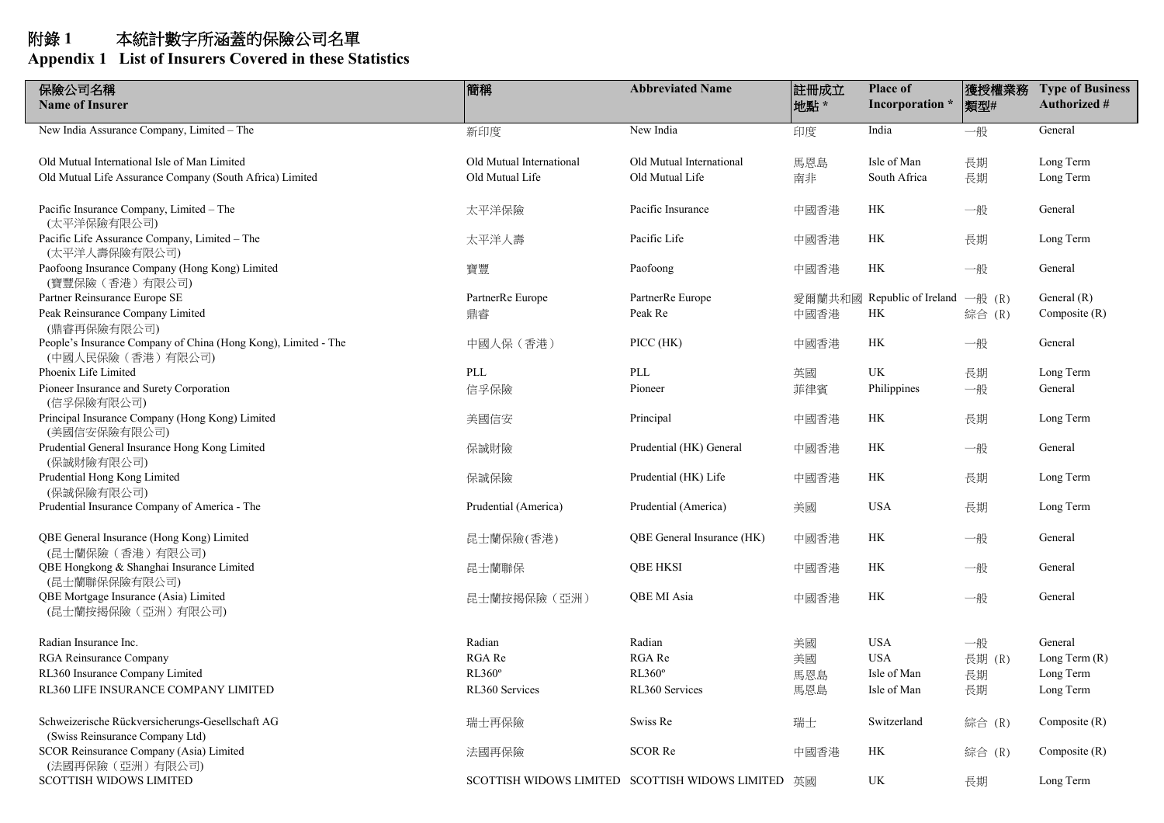| 保險公司名稱<br><b>Name of Insurer</b>                                                     | 簡稱                       | <b>Abbreviated Name</b>                            | 註冊成立<br>地點 * | <b>Place of</b><br>Incorporation * | 獲授權業務<br> 類型# | <b>Type of Business</b><br><b>Authorized #</b> |
|--------------------------------------------------------------------------------------|--------------------------|----------------------------------------------------|--------------|------------------------------------|---------------|------------------------------------------------|
| New India Assurance Company, Limited - The                                           | 新印度                      | New India                                          | 印度           | India                              | 一般            | General                                        |
| Old Mutual International Isle of Man Limited                                         | Old Mutual International | Old Mutual International                           | 馬恩島          | Isle of Man                        | 長期            | Long Term                                      |
| Old Mutual Life Assurance Company (South Africa) Limited                             | Old Mutual Life          | Old Mutual Life                                    | 南非           | South Africa                       | 長期            | Long Term                                      |
| Pacific Insurance Company, Limited - The<br>(太平洋保險有限公司)                              | 太平洋保險                    | Pacific Insurance                                  | 中國香港         | HK                                 | 一般            | General                                        |
| Pacific Life Assurance Company, Limited - The<br>(太平洋人壽保險有限公司)                       | 太平洋人壽                    | Pacific Life                                       | 中國香港         | HK                                 | 長期            | Long Term                                      |
| Paofoong Insurance Company (Hong Kong) Limited<br>(寶豐保險 (香港) 有限公司)                   | 寶豐                       | Paofoong                                           | 中國香港         | HK                                 | 一般            | General                                        |
| Partner Reinsurance Europe SE                                                        | PartnerRe Europe         | PartnerRe Europe                                   | 愛爾蘭共和國       | Republic of Ireland                | 一般 $(R)$      | General $(R)$                                  |
| Peak Reinsurance Company Limited<br>(鼎睿再保險有限公司)                                      | 鼎睿                       | Peak Re                                            | 中國香港         | HK                                 | 綜合 (R)        | Composite $(R)$                                |
| People's Insurance Company of China (Hong Kong), Limited - The<br>(中國人民保險 (香港) 有限公司) | 中國人保 (香港)                | $\text{PICC (HK)}$                                 | 中國香港         | HK                                 | 一般            | General                                        |
| Phoenix Life Limited                                                                 | PLL                      | PLL                                                | 英國           | UK                                 | 長期            | Long Term                                      |
| Pioneer Insurance and Surety Corporation<br>(信孚保險有限公司)                               | 信孚保險                     | Pioneer                                            | 菲律賓          | Philippines                        | 一般            | General                                        |
| Principal Insurance Company (Hong Kong) Limited<br>(美國信安保險有限公司)                      | 美國信安                     | Principal                                          | 中國香港         | HК                                 | 長期            | Long Term                                      |
| Prudential General Insurance Hong Kong Limited<br>(保誠財險有限公司)                         | 保誠財險                     | Prudential (HK) General                            | 中國香港         | HK                                 | 一般            | General                                        |
| Prudential Hong Kong Limited<br>(保誠保險有限公司)                                           | 保誠保險                     | Prudential (HK) Life                               | 中國香港         | HK                                 | 長期            | Long Term                                      |
| Prudential Insurance Company of America - The                                        | Prudential (America)     | Prudential (America)                               | 美國           | <b>USA</b>                         | 長期            | Long Term                                      |
| QBE General Insurance (Hong Kong) Limited<br>(昆士蘭保險(香港)有限公司)                         | 昆士蘭保險(香港)                | QBE General Insurance (HK)                         | 中國香港         | HK                                 | 一般            | General                                        |
| QBE Hongkong & Shanghai Insurance Limited<br>(昆士蘭聯保保險有限公司)                           | 昆士蘭聯保                    | <b>QBE HKSI</b>                                    | 中國香港         | HK                                 | 一般            | General                                        |
| QBE Mortgage Insurance (Asia) Limited<br>(昆士蘭按揭保險 (亞洲) 有限公司)                         | 昆士蘭按揭保險 (亞洲)             | QBE MI Asia                                        | 中國香港         | $\rm{HK}$                          | 一般            | General                                        |
| Radian Insurance Inc.                                                                | Radian                   | Radian                                             | 美國           | <b>USA</b>                         | 一般            | General                                        |
| <b>RGA Reinsurance Company</b>                                                       | RGA Re                   | RGA Re                                             | 美國           | <b>USA</b>                         | 長期 (R)        | Long Term $(R)$                                |
| RL360 Insurance Company Limited                                                      | RL360°                   | RL360°                                             | 馬恩島          | Isle of Man                        | 長期            | Long Term                                      |
| RL360 LIFE INSURANCE COMPANY LIMITED                                                 | RL360 Services           | RL360 Services                                     | 馬恩島          | Isle of Man                        | 長期            | Long Term                                      |
| Schweizerische Rückversicherungs-Gesellschaft AG<br>(Swiss Reinsurance Company Ltd)  | 瑞士再保險                    | Swiss Re                                           | 瑞士           | Switzerland                        | 綜合 (R)        | Composite $(R)$                                |
| SCOR Reinsurance Company (Asia) Limited<br>(法國再保險 (亞洲) 有限公司)                         | 法國再保險                    | SCOR Re                                            | 中國香港         | HК                                 | 綜合 (R)        | Composite $(R)$                                |
| <b>SCOTTISH WIDOWS LIMITED</b>                                                       |                          | SCOTTISH WIDOWS LIMITED SCOTTISH WIDOWS LIMITED 英國 |              | UK                                 | 長期            | Long Term                                      |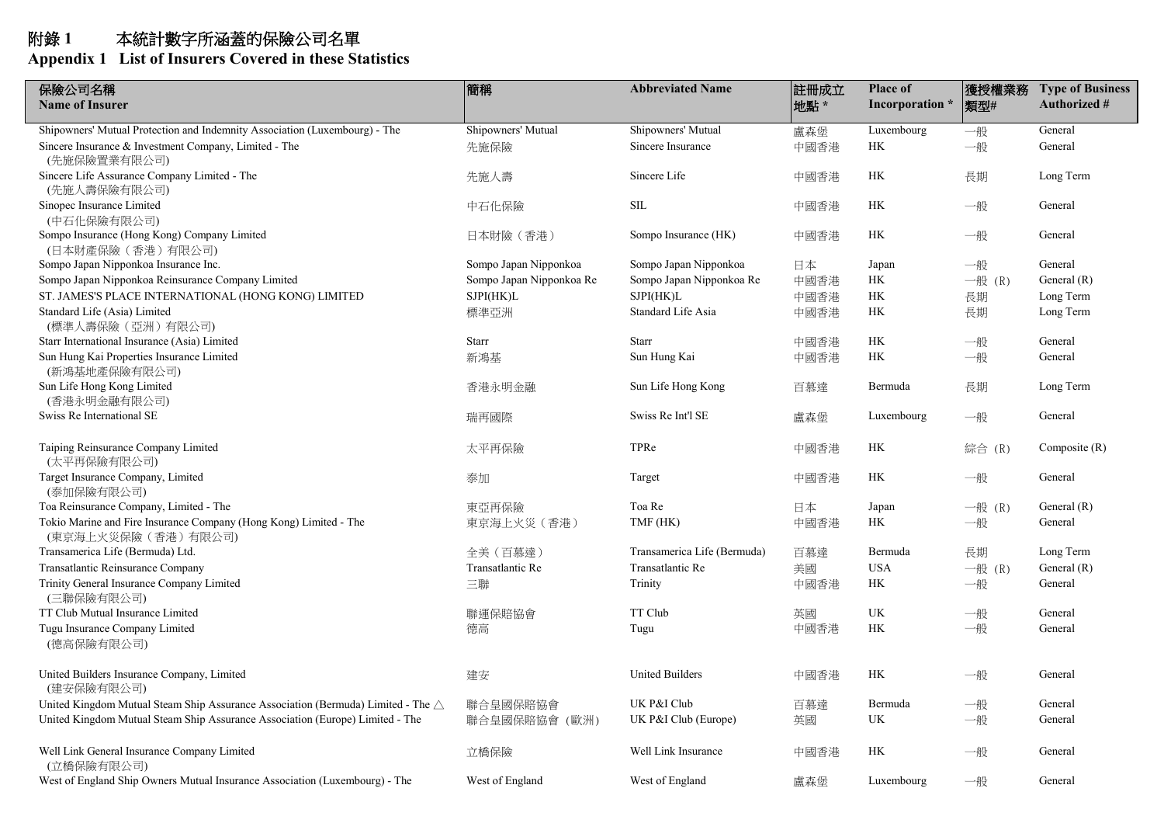| 保險公司名稱                                                                                    | 簡稱                       | <b>Abbreviated Name</b>     | 註冊成立 | <b>Place of</b> | 獲授權業務    | <b>Type of Business</b> |
|-------------------------------------------------------------------------------------------|--------------------------|-----------------------------|------|-----------------|----------|-------------------------|
| <b>Name of Insurer</b>                                                                    |                          |                             | 地點*  | Incorporation * | 類型#      | <b>Authorized #</b>     |
| Shipowners' Mutual Protection and Indemnity Association (Luxembourg) - The                | Shipowners' Mutual       | Shipowners' Mutual          | 盧森堡  | Luxembourg      | 一般       | General                 |
| Sincere Insurance & Investment Company, Limited - The<br>(先施保險置業有限公司)                     | 先施保險                     | Sincere Insurance           | 中國香港 | НK              | 一般       | General                 |
| Sincere Life Assurance Company Limited - The<br>(先施人壽保險有限公司)                              | 先施人壽                     | Sincere Life                | 中國香港 | HK              | 長期       | Long Term               |
| Sinopec Insurance Limited<br>(中石化保險有限公司)                                                  | 中石化保險                    | <b>SIL</b>                  | 中國香港 | НK              | 一般       | General                 |
| Sompo Insurance (Hong Kong) Company Limited<br>(日本財產保險(香港)有限公司)                           | 日本財險 (香港)                | Sompo Insurance (HK)        | 中國香港 | HK              | 一般       | General                 |
| Sompo Japan Nipponkoa Insurance Inc.                                                      | Sompo Japan Nipponkoa    | Sompo Japan Nipponkoa       | 日本   | Japan           | 一般       | General                 |
| Sompo Japan Nipponkoa Reinsurance Company Limited                                         | Sompo Japan Nipponkoa Re | Sompo Japan Nipponkoa Re    | 中國香港 | HK              | 一般 $(R)$ | General $(R)$           |
| ST. JAMES'S PLACE INTERNATIONAL (HONG KONG) LIMITED                                       | SJPI(HK)L                | SJPI(HK)L                   | 中國香港 | HK              | 長期       | Long Term               |
| Standard Life (Asia) Limited<br>(標準人壽保險 (亞洲) 有限公司)                                        | 標準亞洲                     | Standard Life Asia          | 中國香港 | HK              | 長期       | Long Term               |
| Starr International Insurance (Asia) Limited                                              | Starr                    | <b>Starr</b>                | 中國香港 | HK              | 一般       | General                 |
| Sun Hung Kai Properties Insurance Limited<br>(新鴻基地產保險有限公司)                                | 新鴻基                      | Sun Hung Kai                | 中國香港 | HK              | 一般       | General                 |
| Sun Life Hong Kong Limited<br>(香港永明金融有限公司)                                                | 香港永明金融                   | Sun Life Hong Kong          | 百慕達  | Bermuda         | 長期       | Long Term               |
| Swiss Re International SE                                                                 | 瑞再國際                     | Swiss Re Int'l SE           | 盧森堡  | Luxembourg      | 一般       | General                 |
| Taiping Reinsurance Company Limited<br>(太平再保險有限公司)                                        | 太平再保險                    | TPRe                        | 中國香港 | HK              | 綜合 (R)   | Composite $(R)$         |
| Target Insurance Company, Limited<br>(泰加保險有限公司)                                           | 泰加                       | Target                      | 中國香港 | HK              | 一般       | General                 |
| Toa Reinsurance Company, Limited - The                                                    | 東亞再保險                    | Toa Re                      | 日本   | Japan           | 一般 (R)   | General $(R)$           |
| Tokio Marine and Fire Insurance Company (Hong Kong) Limited - The<br>(東京海上火災保險 (香港) 有限公司) | 東京海上火災 (香港)              | TMF (HK)                    | 中國香港 | HK              | 一般       | General                 |
| Transamerica Life (Bermuda) Ltd.                                                          | 全美 (百慕達)                 | Transamerica Life (Bermuda) | 百慕達  | Bermuda         | 長期       | Long Term               |
| Transatlantic Reinsurance Company                                                         | Transatlantic Re         | Transatlantic Re            | 美國   | <b>USA</b>      | 一般 $(R)$ | General $(R)$           |
| Trinity General Insurance Company Limited<br>(三聯保險有限公司)                                   | 三聯                       | Trinity                     | 中國香港 | HK              | 一般       | General                 |
| TT Club Mutual Insurance Limited                                                          | 聯運保賠協會                   | TT Club                     | 英國   | UK              | 一般       | General                 |
| Tugu Insurance Company Limited<br>(德高保險有限公司)                                              | 德高                       | Tugu                        | 中國香港 | HK              | 一般       | General                 |
| United Builders Insurance Company, Limited<br>(建安保險有限公司)                                  | 建安                       | <b>United Builders</b>      | 中國香港 | НK              | 一般       | General                 |
| United Kingdom Mutual Steam Ship Assurance Association (Bermuda) Limited - The △          | 聯合皇國保賠協會                 | UK P&I Club                 | 百慕達  | Bermuda         | 一般       | General                 |
| United Kingdom Mutual Steam Ship Assurance Association (Europe) Limited - The             | 聯合皇國保賠協會 (歐洲)            | UK P&I Club (Europe)        | 英國   | <b>UK</b>       | 一般       | General                 |
| Well Link General Insurance Company Limited<br>(立橋保險有限公司)                                 | 立橋保險                     | Well Link Insurance         | 中國香港 | HK              | 一般       | General                 |
| West of England Ship Owners Mutual Insurance Association (Luxembourg) - The               | West of England          | West of England             | 盧森堡  | Luxembourg      | 一般       | General                 |